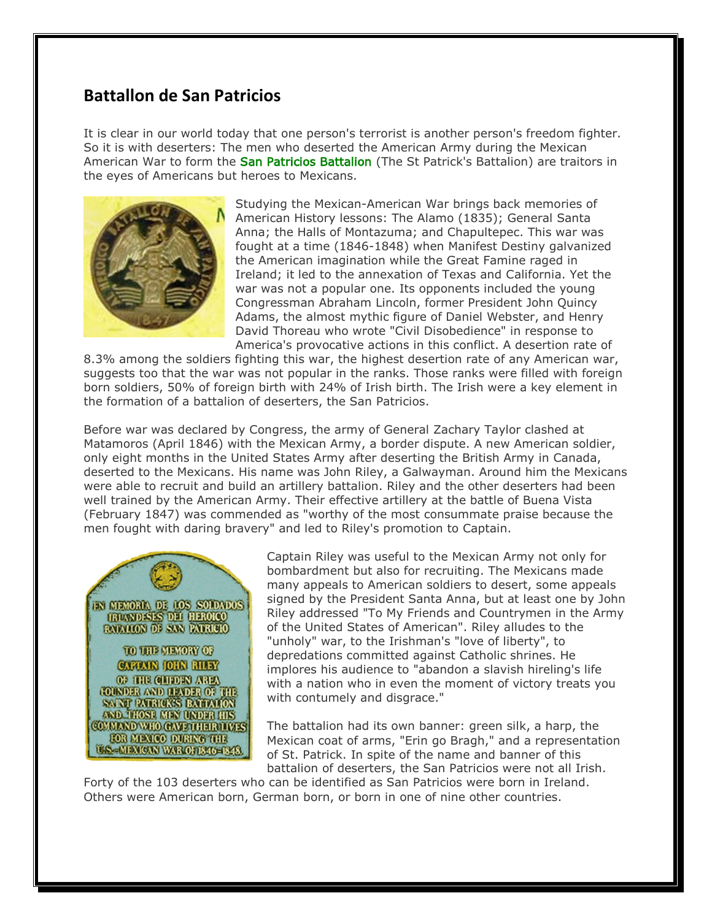## **Battallon de San Patricios**

It is clear in our world today that one person's terrorist is another person's freedom fighter. So it is with deserters: The men who deserted the American Army during the Mexican American War to form the San Patricios Battalion (The St Patrick's Battalion) are traitors in the eyes of Americans but heroes to Mexicans.



Studying the Mexican-American War brings back memories of American History lessons: The Alamo (1835); General Santa Anna; the Halls of Montazuma; and Chapultepec. This war was fought at a time (1846-1848) when Manifest Destiny galvanized the American imagination while the Great Famine raged in Ireland; it led to the annexation of Texas and California. Yet the war was not a popular one. Its opponents included the young Congressman Abraham Lincoln, former President John Quincy Adams, the almost mythic figure of Daniel Webster, and Henry David Thoreau who wrote "Civil Disobedience" in response to America's provocative actions in this conflict. A desertion rate of

8.3% among the soldiers fighting this war, the highest desertion rate of any American war, suggests too that the war was not popular in the ranks. Those ranks were filled with foreign born soldiers, 50% of foreign birth with 24% of Irish birth. The Irish were a key element in the formation of a battalion of deserters, the San Patricios.

Before war was declared by Congress, the army of General Zachary Taylor clashed at Matamoros (April 1846) with the Mexican Army, a border dispute. A new American soldier, only eight months in the United States Army after deserting the British Army in Canada, deserted to the Mexicans. His name was John Riley, a Galwayman. Around him the Mexicans were able to recruit and build an artillery battalion. Riley and the other deserters had been well trained by the American Army. Their effective artillery at the battle of Buena Vista (February 1847) was commended as "worthy of the most consummate praise because the men fought with daring bravery" and led to Riley's promotion to Captain.



Captain Riley was useful to the Mexican Army not only for bombardment but also for recruiting. The Mexicans made many appeals to American soldiers to desert, some appeals signed by the President Santa Anna, but at least one by John Riley addressed "To My Friends and Countrymen in the Army of the United States of American". Riley alludes to the "unholy" war, to the Irishman's "love of liberty", to depredations committed against Catholic shrines. He implores his audience to "abandon a slavish hireling's life with a nation who in even the moment of victory treats you with contumely and disgrace."

The battalion had its own banner: green silk, a harp, the Mexican coat of arms, "Erin go Bragh," and a representation of St. Patrick. In spite of the name and banner of this battalion of deserters, the San Patricios were not all Irish.

Forty of the 103 deserters who can be identified as San Patricios were born in Ireland. Others were American born, German born, or born in one of nine other countries.